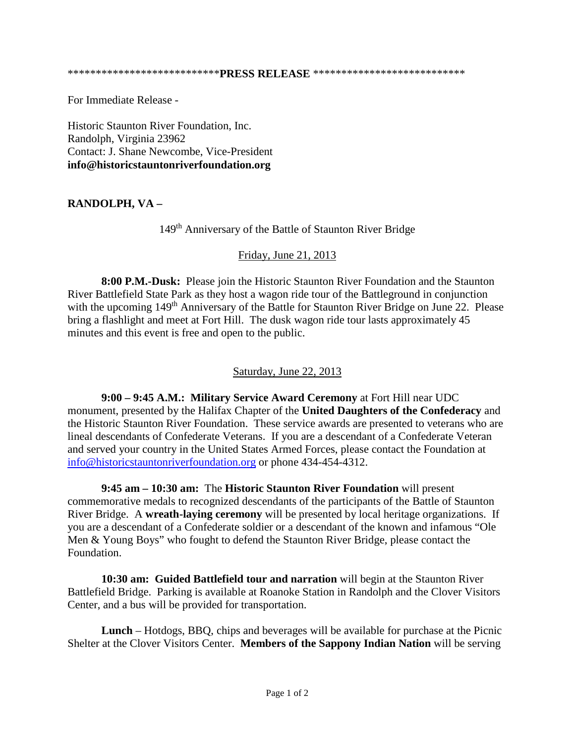For Immediate Release -

Historic Staunton River Foundation, Inc. Randolph, Virginia 23962 Contact: J. Shane Newcombe, Vice-President **info@historicstauntonriverfoundation.org**

## **RANDOLPH, VA –**

149th Anniversary of the Battle of Staunton River Bridge

## Friday, June 21, 2013

**8:00 P.M.-Dusk:** Please join the Historic Staunton River Foundation and the Staunton River Battlefield State Park as they host a wagon ride tour of the Battleground in conjunction with the upcoming 149<sup>th</sup> Anniversary of the Battle for Staunton River Bridge on June 22. Please bring a flashlight and meet at Fort Hill. The dusk wagon ride tour lasts approximately 45 minutes and this event is free and open to the public.

## Saturday, June 22, 2013

**9:00 – 9:45 A.M.: Military Service Award Ceremony** at Fort Hill near UDC monument, presented by the Halifax Chapter of the **United Daughters of the Confederacy** and the Historic Staunton River Foundation. These service awards are presented to veterans who are lineal descendants of Confederate Veterans. If you are a descendant of a Confederate Veteran and served your country in the United States Armed Forces, please contact the Foundation at [info@historicstauntonriverfoundation.org](mailto:info@historicstauntonriverfoundation.org) or phone 434-454-4312.

**9:45 am – 10:30 am:** The **Historic Staunton River Foundation** will present commemorative medals to recognized descendants of the participants of the Battle of Staunton River Bridge. A **wreath-laying ceremony** will be presented by local heritage organizations. If you are a descendant of a Confederate soldier or a descendant of the known and infamous "Ole Men & Young Boys" who fought to defend the Staunton River Bridge, please contact the Foundation.

**10:30 am: Guided Battlefield tour and narration** will begin at the Staunton River Battlefield Bridge. Parking is available at Roanoke Station in Randolph and the Clover Visitors Center, and a bus will be provided for transportation.

**Lunch** – Hotdogs, BBQ, chips and beverages will be available for purchase at the Picnic Shelter at the Clover Visitors Center. **Members of the Sappony Indian Nation** will be serving